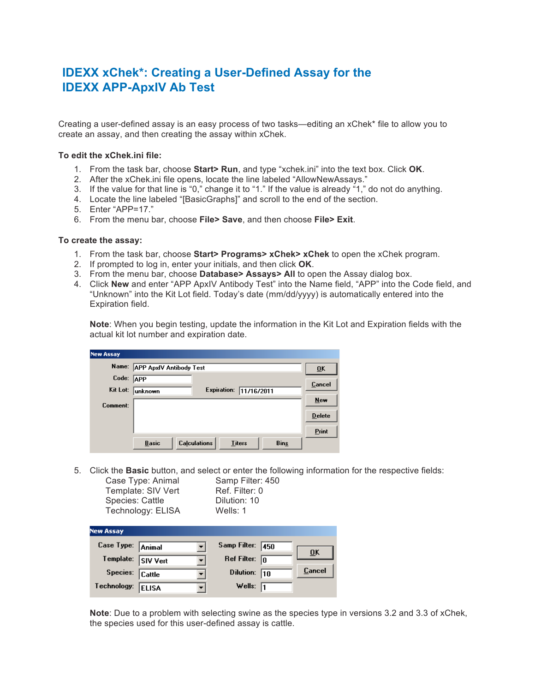## **IDEXX xChek\*: Creating a User-Defined Assay for the IDEXX APP-ApxIV Ab Test**

Creating a user-defined assay is an easy process of two tasks—editing an xChek\* file to allow you to create an assay, and then creating the assay within xChek.

## **To edit the xChek.ini file:**

- 1. From the task bar, choose **Start> Run**, and type "xchek.ini" into the text box. Click **OK**.
- 2. After the xChek.ini file opens, locate the line labeled "AllowNewAssays."
- 3. If the value for that line is "0," change it to "1." If the value is already "1," do not do anything.
- 4. Locate the line labeled "[BasicGraphs]" and scroll to the end of the section.
- 5. Enter "APP=17."
- 6. From the menu bar, choose **File> Save**, and then choose **File> Exit**.

## **To create the assay:**

- 1. From the task bar, choose **Start> Programs> xChek> xChek** to open the xChek program.
- 2. If prompted to log in, enter your initials, and then click **OK**.
- 3. From the menu bar, choose **Database> Assays> All** to open the Assay dialog box.
- 4. Click **New** and enter "APP ApxIV Antibody Test" into the Name field, "APP" into the Code field, and "Unknown" into the Kit Lot field. Today's date (mm/dd/yyyy) is automatically entered into the Expiration field.

**Note**: When you begin testing, update the information in the Kit Lot and Expiration fields with the actual kit lot number and expiration date.

| <b>New Assay</b> |                                                                     |               |
|------------------|---------------------------------------------------------------------|---------------|
| Name:            | <b>APP ApxIV Antibody Test</b>                                      | ŪK            |
| Code:            | <b>APP</b>                                                          | Cancel        |
| Kit Lot:         | <b>Expiration:</b><br>11/16/2011<br>unknown                         |               |
| Comment:         |                                                                     | New           |
|                  |                                                                     | <b>Delete</b> |
|                  |                                                                     | Print         |
|                  | <b>Calculations</b><br><b>Basic</b><br><b>Titers</b><br><b>Bins</b> |               |

5. Click the **Basic** button, and select or enter the following information for the respective fields: Case Type: Animal

| Species: Cattle  | Template: SIV Vert<br>Technology: ELISA | Ref. Filter: 0<br>Dilution: 10<br>Wells: 1 |        |  |  |  |  |
|------------------|-----------------------------------------|--------------------------------------------|--------|--|--|--|--|
| <b>New Assay</b> |                                         |                                            |        |  |  |  |  |
| Case Type:       | Animal                                  | Samp Filter:<br>450                        |        |  |  |  |  |
| Template:        | <b>SIV Vert</b>                         | <b>Ref Filter:</b><br>lo                   | ŪK     |  |  |  |  |
| Species:         | Cattle                                  | Dilution:<br>110                           | Cancel |  |  |  |  |
| Technology:      | <b>ELISA</b>                            | Wells:                                     |        |  |  |  |  |
|                  |                                         |                                            |        |  |  |  |  |

**Note**: Due to a problem with selecting swine as the species type in versions 3.2 and 3.3 of xChek, the species used for this user-defined assay is cattle.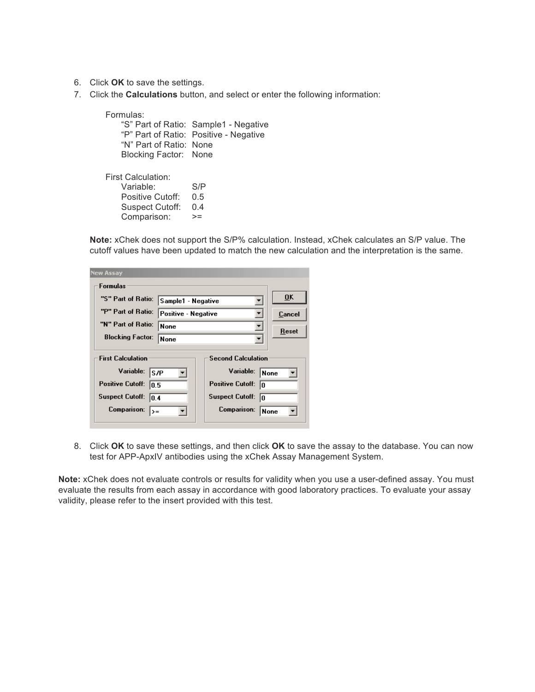- 6. Click **OK** to save the settings.
- 7. Click the **Calculations** button, and select or enter the following information:

Formulas: "S" Part of Ratio: Sample1 - Negative "P" Part of Ratio: Positive - Negative "N" Part of Ratio: None Blocking Factor: None

First Calculation: Variable: S/P Positive Cutoff: 0.5 Suspect Cutoff: 0.4 Comparison: >=

**Note:** xChek does not support the S/P% calculation. Instead, xChek calculates an S/P value. The cutoff values have been updated to match the new calculation and the interpretation is the same.

|  | <b>New Assay</b>                                                                                                                                       |      |                                                                                                                               |                     |  |  |  |  |
|--|--------------------------------------------------------------------------------------------------------------------------------------------------------|------|-------------------------------------------------------------------------------------------------------------------------------|---------------------|--|--|--|--|
|  | <b>Formulas</b>                                                                                                                                        |      |                                                                                                                               |                     |  |  |  |  |
|  | "S" Part of Ratio:<br>Sample1 - Negative<br>"P" Part of Ratio:<br>Positive - Negative                                                                  |      |                                                                                                                               | OK                  |  |  |  |  |
|  |                                                                                                                                                        |      |                                                                                                                               | Cancel              |  |  |  |  |
|  | "N" Part of Ratio:<br>None                                                                                                                             |      |                                                                                                                               | Reset               |  |  |  |  |
|  | <b>Blocking Factor:</b>                                                                                                                                | None |                                                                                                                               |                     |  |  |  |  |
|  | <b>First Calculation</b><br>Variable:<br>S/P<br><b>Positive Cutoff:</b><br>lO.5<br><b>Suspect Cutoff:</b><br>10.4<br><b>Comparison:</b><br>$\rangle =$ |      | <b>Second Calculation</b><br>Variable:<br><b>Positive Cutoff:</b><br>١O<br><b>Suspect Cutoff:</b><br>١o<br><b>Comparison:</b> | None<br><b>None</b> |  |  |  |  |

8. Click **OK** to save these settings, and then click **OK** to save the assay to the database. You can now test for APP-ApxIV antibodies using the xChek Assay Management System.

**Note:** xChek does not evaluate controls or results for validity when you use a user-defined assay. You must evaluate the results from each assay in accordance with good laboratory practices. To evaluate your assay validity, please refer to the insert provided with this test.